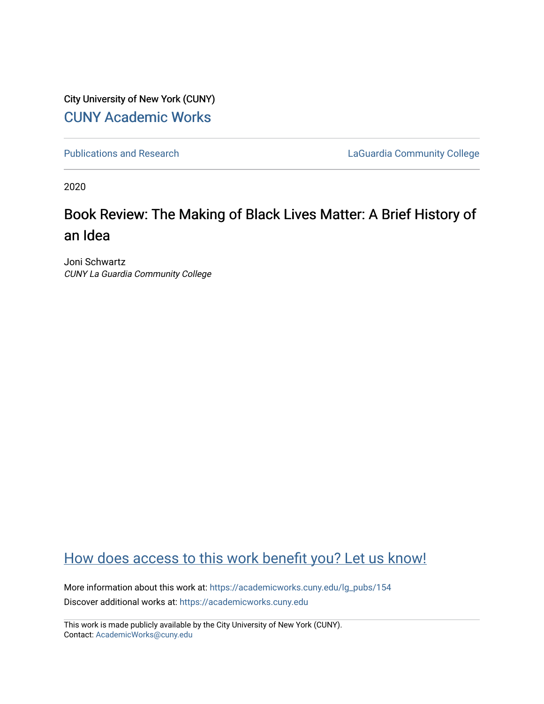City University of New York (CUNY) [CUNY Academic Works](https://academicworks.cuny.edu/) 

[Publications and Research](https://academicworks.cuny.edu/lg_pubs) **LaGuardia Community College** 

2020

## Book Review: The Making of Black Lives Matter: A Brief History of an Idea

Joni Schwartz CUNY La Guardia Community College

## [How does access to this work benefit you? Let us know!](http://ols.cuny.edu/academicworks/?ref=https://academicworks.cuny.edu/lg_pubs/154)

More information about this work at: [https://academicworks.cuny.edu/lg\\_pubs/154](https://academicworks.cuny.edu/lg_pubs/154)  Discover additional works at: [https://academicworks.cuny.edu](https://academicworks.cuny.edu/?)

This work is made publicly available by the City University of New York (CUNY). Contact: [AcademicWorks@cuny.edu](mailto:AcademicWorks@cuny.edu)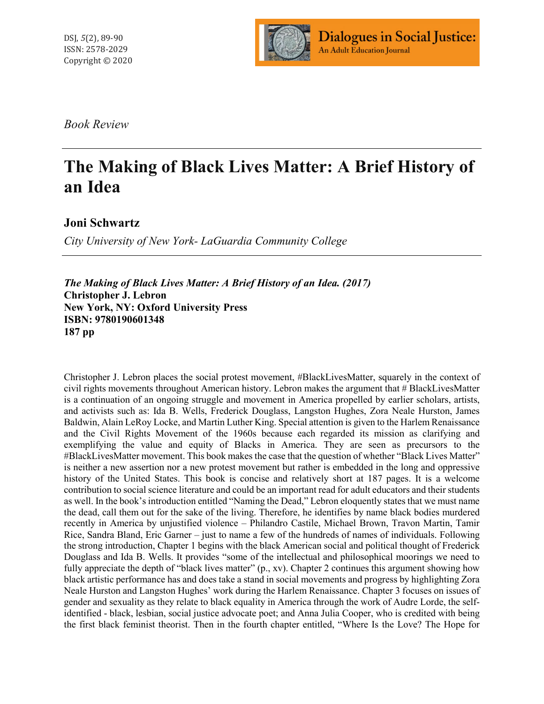

*Book Review*

## **The Making of Black Lives Matter: A Brief History of an Idea**

**Joni Schwartz**

*City University of New York- LaGuardia Community College*

*The Making of Black Lives Matter: A Brief History of an Idea. (2017)* **Christopher J. Lebron New York, NY: Oxford University Press ISBN: 9780190601348 187 pp**

Christopher J. Lebron places the social protest movement, #BlackLivesMatter, squarely in the context of civil rights movements throughout American history. Lebron makes the argument that # BlackLivesMatter is a continuation of an ongoing struggle and movement in America propelled by earlier scholars, artists, and activists such as: Ida B. Wells, Frederick Douglass, Langston Hughes, Zora Neale Hurston, James Baldwin, Alain LeRoy Locke, and Martin Luther King. Special attention is given to the Harlem Renaissance and the Civil Rights Movement of the 1960s because each regarded its mission as clarifying and exemplifying the value and equity of Blacks in America. They are seen as precursors to the #BlackLivesMatter movement. This book makes the case that the question of whether "Black Lives Matter" is neither a new assertion nor a new protest movement but rather is embedded in the long and oppressive history of the United States. This book is concise and relatively short at 187 pages. It is a welcome contribution to social science literature and could be an important read for adult educators and their students as well. In the book's introduction entitled "Naming the Dead," Lebron eloquently states that we must name the dead, call them out for the sake of the living. Therefore, he identifies by name black bodies murdered recently in America by unjustified violence – Philandro Castile, Michael Brown, Travon Martin, Tamir Rice, Sandra Bland, Eric Garner – just to name a few of the hundreds of names of individuals. Following the strong introduction, Chapter 1 begins with the black American social and political thought of Frederick Douglass and Ida B. Wells. It provides "some of the intellectual and philosophical moorings we need to fully appreciate the depth of "black lives matter" (p., xv). Chapter 2 continues this argument showing how black artistic performance has and does take a stand in social movements and progress by highlighting Zora Neale Hurston and Langston Hughes' work during the Harlem Renaissance. Chapter 3 focuses on issues of gender and sexuality as they relate to black equality in America through the work of Audre Lorde, the selfidentified - black, lesbian, social justice advocate poet; and Anna Julia Cooper, who is credited with being the first black feminist theorist. Then in the fourth chapter entitled, "Where Is the Love? The Hope for